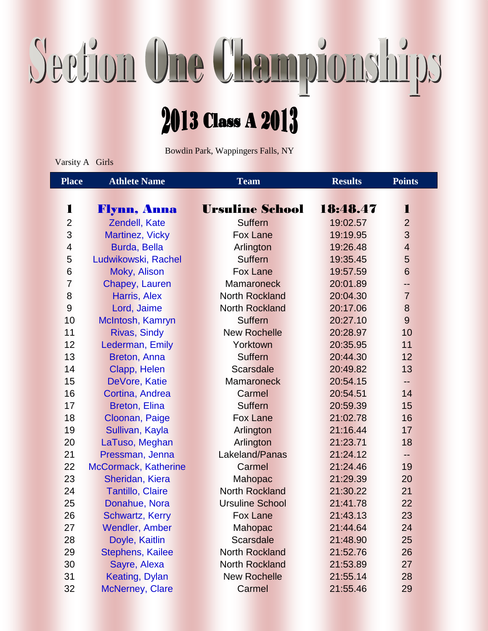## Section One Championships

## 2013 Class A 2013

Bowdin Park, Wappingers Falls, NY

Varsity A Girls

| <b>Place</b>             | <b>Athlete Name</b>     | <b>Team</b>            | <b>Results</b> | <b>Points</b>  |
|--------------------------|-------------------------|------------------------|----------------|----------------|
|                          |                         |                        |                |                |
| 1                        | Flynn, Anna             | <b>Ursuline School</b> | 18:48.47       | 1              |
| $\overline{2}$           | Zendell, Kate           | <b>Suffern</b>         | 19:02.57       | $\overline{2}$ |
| 3                        | Martinez, Vicky         | <b>Fox Lane</b>        | 19:19.95       | 3              |
| $\overline{\mathcal{A}}$ | Burda, Bella            | Arlington              | 19:26.48       | $\overline{4}$ |
| 5                        | Ludwikowski, Rachel     | <b>Suffern</b>         | 19:35.45       | 5              |
| 6                        | Moky, Alison            | <b>Fox Lane</b>        | 19:57.59       | 6              |
| $\overline{7}$           | Chapey, Lauren          | <b>Mamaroneck</b>      | 20:01.89       | --             |
| 8                        | Harris, Alex            | <b>North Rockland</b>  | 20:04.30       | $\overline{7}$ |
| 9                        | Lord, Jaime             | <b>North Rockland</b>  | 20:17.06       | 8              |
| 10                       | McIntosh, Kamryn        | <b>Suffern</b>         | 20:27.10       | 9              |
| 11                       | <b>Rivas, Sindy</b>     | <b>New Rochelle</b>    | 20:28.97       | 10             |
| 12                       | Lederman, Emily         | Yorktown               | 20:35.95       | 11             |
| 13                       | Breton, Anna            | <b>Suffern</b>         | 20:44.30       | 12             |
| 14                       | Clapp, Helen            | <b>Scarsdale</b>       | 20:49.82       | 13             |
| 15                       | DeVore, Katie           | <b>Mamaroneck</b>      | 20:54.15       | --             |
| 16                       | Cortina, Andrea         | Carmel                 | 20:54.51       | 14             |
| 17                       | <b>Breton, Elina</b>    | <b>Suffern</b>         | 20:59.39       | 15             |
| 18                       | Cloonan, Paige          | <b>Fox Lane</b>        | 21:02.78       | 16             |
| 19                       | Sullivan, Kayla         | Arlington              | 21:16.44       | 17             |
| 20                       | LaTuso, Meghan          | Arlington              | 21:23.71       | 18             |
| 21                       | Pressman, Jenna         | Lakeland/Panas         | 21:24.12       | --             |
| 22                       | McCormack, Katherine    | Carmel                 | 21:24.46       | 19             |
| 23                       | Sheridan, Kiera         | <b>Mahopac</b>         | 21:29.39       | 20             |
| 24                       | Tantillo, Claire        | <b>North Rockland</b>  | 21:30.22       | 21             |
| 25                       | Donahue, Nora           | <b>Ursuline School</b> | 21:41.78       | 22             |
| 26                       | Schwartz, Kerry         | <b>Fox Lane</b>        | 21:43.13       | 23             |
| 27                       | <b>Wendler, Amber</b>   | Mahopac                | 21:44.64       | 24             |
| 28                       | Doyle, Kaitlin          | <b>Scarsdale</b>       | 21:48.90       | 25             |
| 29                       | <b>Stephens, Kailee</b> | <b>North Rockland</b>  | 21:52.76       | 26             |
| 30                       | Sayre, Alexa            | <b>North Rockland</b>  | 21:53.89       | 27             |
| 31                       | Keating, Dylan          | <b>New Rochelle</b>    | 21:55.14       | 28             |
| 32                       | <b>McNerney, Clare</b>  | Carmel                 | 21:55.46       | 29             |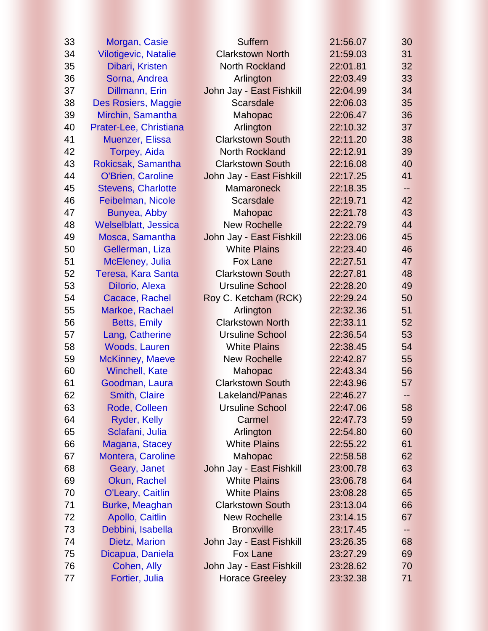| 33 | Morgan, Casie               | <b>Suffern</b>           | 21:56.07 | 30    |
|----|-----------------------------|--------------------------|----------|-------|
| 34 | <b>Vilotigevic, Natalie</b> | <b>Clarkstown North</b>  | 21:59.03 | 31    |
| 35 | Dibari, Kristen             | <b>North Rockland</b>    | 22:01.81 | 32    |
| 36 | Sorna, Andrea               | Arlington                | 22:03.49 | 33    |
| 37 | Dillmann, Erin              | John Jay - East Fishkill | 22:04.99 | 34    |
| 38 | Des Rosiers, Maggie         | <b>Scarsdale</b>         | 22:06.03 | 35    |
| 39 | Mirchin, Samantha           | <b>Mahopac</b>           | 22:06.47 | 36    |
| 40 | Prater-Lee, Christiana      | Arlington                | 22:10.32 | 37    |
| 41 | <b>Muenzer, Elissa</b>      | <b>Clarkstown South</b>  | 22:11.20 | 38    |
| 42 | <b>Torpey, Aida</b>         | <b>North Rockland</b>    | 22:12.91 | 39    |
| 43 | Rokicsak, Samantha          | <b>Clarkstown South</b>  | 22:16.08 | 40    |
| 44 | <b>O'Brien, Caroline</b>    | John Jay - East Fishkill | 22:17.25 | 41    |
| 45 | <b>Stevens, Charlotte</b>   | <b>Mamaroneck</b>        | 22:18.35 | --    |
| 46 | Feibelman, Nicole           | <b>Scarsdale</b>         | 22:19.71 | 42    |
| 47 | Bunyea, Abby                | Mahopac                  | 22:21.78 | 43    |
| 48 | <b>Welselblatt, Jessica</b> | <b>New Rochelle</b>      | 22:22.79 | 44    |
| 49 | Mosca, Samantha             | John Jay - East Fishkill | 22:23.06 | 45    |
| 50 | Gellerman, Liza             | <b>White Plains</b>      | 22:23.40 | 46    |
| 51 | McEleney, Julia             | <b>Fox Lane</b>          | 22:27.51 | 47    |
| 52 | Teresa, Kara Santa          | <b>Clarkstown South</b>  | 22:27.81 | 48    |
| 53 | Dilorio, Alexa              | <b>Ursuline School</b>   | 22:28.20 | 49    |
| 54 | Cacace, Rachel              | Roy C. Ketcham (RCK)     | 22:29.24 | 50    |
| 55 | Markoe, Rachael             | Arlington                | 22:32.36 | 51    |
| 56 | <b>Betts, Emily</b>         | <b>Clarkstown North</b>  | 22:33.11 | 52    |
| 57 | Lang, Catherine             | <b>Ursuline School</b>   | 22:36.54 | 53    |
| 58 | <b>Woods, Lauren</b>        | <b>White Plains</b>      | 22:38.45 | 54    |
| 59 | <b>McKinney, Maeve</b>      | <b>New Rochelle</b>      | 22:42.87 | 55    |
| 60 | <b>Winchell, Kate</b>       | Mahopac                  | 22:43.34 | 56    |
| 61 | Goodman, Laura              | <b>Clarkstown South</b>  | 22:43.96 | 57    |
| 62 | Smith, Claire               | Lakeland/Panas           | 22:46.27 |       |
| 63 | Rode, Colleen               | <b>Ursuline School</b>   | 22:47.06 | 58    |
| 64 | Ryder, Kelly                | Carmel                   | 22:47.73 | 59    |
| 65 | Sclafani, Julia             | Arlington                | 22:54.80 | 60    |
| 66 | Magana, Stacey              | <b>White Plains</b>      | 22:55.22 | 61    |
| 67 | Montera, Caroline           | Mahopac                  | 22:58.58 | 62    |
| 68 | Geary, Janet                | John Jay - East Fishkill | 23:00.78 | 63    |
| 69 | Okun, Rachel                | <b>White Plains</b>      | 23:06.78 | 64    |
| 70 | <b>O'Leary, Caitlin</b>     | <b>White Plains</b>      | 23:08.28 | 65    |
| 71 | Burke, Meaghan              | <b>Clarkstown South</b>  | 23:13.04 | 66    |
| 72 | Apollo, Caitlin             | <b>New Rochelle</b>      | 23:14.15 | 67    |
| 73 | Debbini, Isabella           | <b>Bronxville</b>        | 23:17.45 | $- -$ |
| 74 | <b>Dietz, Marion</b>        | John Jay - East Fishkill | 23:26.35 | 68    |
| 75 | Dicapua, Daniela            | <b>Fox Lane</b>          | 23:27.29 | 69    |
| 76 | Cohen, Ally                 | John Jay - East Fishkill | 23:28.62 | 70    |
| 77 | Fortier, Julia              | <b>Horace Greeley</b>    | 23:32.38 | 71    |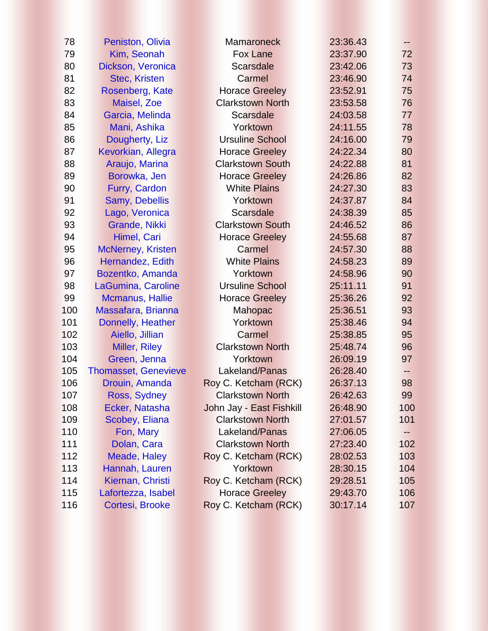| 78  | <b>Peniston, Olivia</b>     | <b>Mamaroneck</b>        | 23:36.43 | --  |
|-----|-----------------------------|--------------------------|----------|-----|
| 79  | Kim, Seonah                 | <b>Fox Lane</b>          | 23:37.90 | 72  |
| 80  | Dickson, Veronica           | <b>Scarsdale</b>         | 23:42.06 | 73  |
| 81  | <b>Stec, Kristen</b>        | Carmel                   | 23:46.90 | 74  |
| 82  | Rosenberg, Kate             | <b>Horace Greeley</b>    | 23:52.91 | 75  |
| 83  | Maisel, Zoe                 | <b>Clarkstown North</b>  | 23:53.58 | 76  |
| 84  | Garcia, Melinda             | <b>Scarsdale</b>         | 24:03.58 | 77  |
| 85  | Mani, Ashika                | Yorktown                 | 24:11.55 | 78  |
| 86  | Dougherty, Liz              | <b>Ursuline School</b>   | 24:16.00 | 79  |
| 87  | Kevorkian, Allegra          | <b>Horace Greeley</b>    | 24:22.34 | 80  |
| 88  | Araujo, Marina              | <b>Clarkstown South</b>  | 24:22.88 | 81  |
| 89  | Borowka, Jen                | <b>Horace Greeley</b>    | 24:26.86 | 82  |
| 90  | Furry, Cardon               | <b>White Plains</b>      | 24:27.30 | 83  |
| 91  | Samy, Debellis              | Yorktown                 | 24:37.87 | 84  |
| 92  | Lago, Veronica              | <b>Scarsdale</b>         | 24:38.39 | 85  |
| 93  | Grande, Nikki               | <b>Clarkstown South</b>  | 24:46.52 | 86  |
| 94  | Himel, Cari                 | <b>Horace Greeley</b>    | 24:55.68 | 87  |
| 95  | <b>McNerney, Kristen</b>    | Carmel                   | 24:57.30 | 88  |
| 96  | Hernandez, Edith            | <b>White Plains</b>      | 24:58.23 | 89  |
| 97  | Bozentko, Amanda            | Yorktown                 | 24:58.96 | 90  |
| 98  | LaGumina, Caroline          | <b>Ursuline School</b>   | 25:11.11 | 91  |
| 99  | Mcmanus, Hallie             | <b>Horace Greeley</b>    | 25:36.26 | 92  |
| 100 | Massafara, Brianna          | <b>Mahopac</b>           | 25:36.51 | 93  |
| 101 | Donnelly, Heather           | Yorktown                 | 25:38.46 | 94  |
| 102 | Aiello, Jillian             | Carmel                   | 25:38.85 | 95  |
| 103 | <b>Miller, Riley</b>        | <b>Clarkstown North</b>  | 25:48.74 | 96  |
| 104 | Green, Jenna                | Yorktown                 | 26:09.19 | 97  |
| 105 | <b>Thomasset, Genevieve</b> | Lakeland/Panas           | 26:28.40 | --  |
| 106 | Drouin, Amanda              | Roy C. Ketcham (RCK)     | 26:37.13 | 98  |
| 107 | Ross, Sydney                | <b>Clarkstown North</b>  | 26:42.63 | 99  |
| 108 | Ecker, Natasha              | John Jay - East Fishkill | 26:48.90 | 100 |
| 109 | Scobey, Eliana              | <b>Clarkstown North</b>  | 27:01.57 | 101 |
| 110 | Fon, Mary                   | Lakeland/Panas           | 27:06.05 | --  |
| 111 | Dolan, Cara                 | <b>Clarkstown North</b>  | 27:23.40 | 102 |
| 112 | Meade, Haley                | Roy C. Ketcham (RCK)     | 28:02.53 | 103 |
| 113 | Hannah, Lauren              | Yorktown                 | 28:30.15 | 104 |
| 114 | Kiernan, Christi            | Roy C. Ketcham (RCK)     | 29:28.51 | 105 |
| 115 | Lafortezza, Isabel          | <b>Horace Greeley</b>    | 29:43.70 | 106 |
| 116 | Cortesi, Brooke             | Roy C. Ketcham (RCK)     | 30:17.14 | 107 |